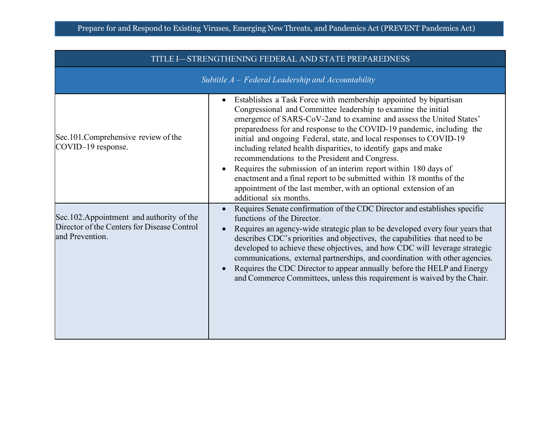| TITLE I—STRENGTHENING FEDERAL AND STATE PREPAREDNESS                                                        |                                                                                                                                                                                                                                                                                                                                                                                                                                                                                                                                                                                                                                                                                                                        |
|-------------------------------------------------------------------------------------------------------------|------------------------------------------------------------------------------------------------------------------------------------------------------------------------------------------------------------------------------------------------------------------------------------------------------------------------------------------------------------------------------------------------------------------------------------------------------------------------------------------------------------------------------------------------------------------------------------------------------------------------------------------------------------------------------------------------------------------------|
|                                                                                                             | Subtitle $A$ – Federal Leadership and Accountability                                                                                                                                                                                                                                                                                                                                                                                                                                                                                                                                                                                                                                                                   |
| Sec.101.Comprehensive review of the<br>COVID-19 response.                                                   | Establishes a Task Force with membership appointed by bipartisan<br>Congressional and Committee leadership to examine the initial<br>emergence of SARS-CoV-2and to examine and assess the United States'<br>preparedness for and response to the COVID-19 pandemic, including the<br>initial and ongoing Federal, state, and local responses to COVID-19<br>including related health disparities, to identify gaps and make<br>recommendations to the President and Congress.<br>Requires the submission of an interim report within 180 days of<br>enactment and a final report to be submitted within 18 months of the<br>appointment of the last member, with an optional extension of an<br>additional six months. |
| Sec.102. Appointment and authority of the<br>Director of the Centers for Disease Control<br>and Prevention. | Requires Senate confirmation of the CDC Director and establishes specific<br>functions of the Director.<br>Requires an agency-wide strategic plan to be developed every four years that<br>describes CDC's priorities and objectives, the capabilities that need to be<br>developed to achieve these objectives, and how CDC will leverage strategic<br>communications, external partnerships, and coordination with other agencies.<br>Requires the CDC Director to appear annually before the HELP and Energy<br>and Commerce Committees, unless this requirement is waived by the Chair.                                                                                                                            |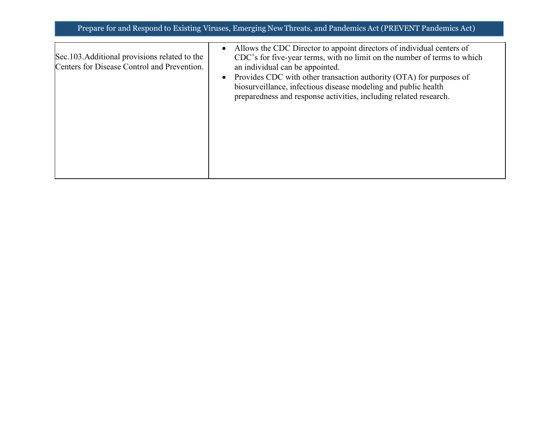| Sec.103.Additional provisions related to the<br>Centers for Disease Control and Prevention. | Allows the CDC Director to appoint directors of individual centers of<br>CDC's for five-year terms, with no limit on the number of terms to which<br>an individual can be appointed.                       |
|---------------------------------------------------------------------------------------------|------------------------------------------------------------------------------------------------------------------------------------------------------------------------------------------------------------|
|                                                                                             | Provides CDC with other transaction authority (OTA) for purposes of<br>biosurveillance, infectious disease modeling and public health<br>preparedness and response activities, including related research. |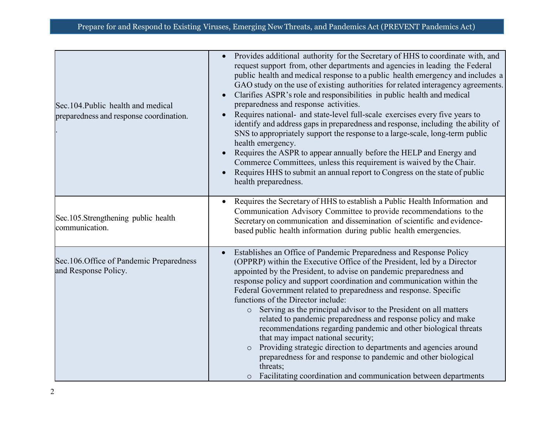| Sec.104. Public health and medical<br>preparedness and response coordination. | Provides additional authority for the Secretary of HHS to coordinate with, and<br>request support from, other departments and agencies in leading the Federal<br>public health and medical response to a public health emergency and includes a<br>GAO study on the use of existing authorities for related interagency agreements.<br>Clarifies ASPR's role and responsibilities in public health and medical<br>preparedness and response activities.<br>Requires national- and state-level full-scale exercises every five years to<br>identify and address gaps in preparedness and response, including the ability of<br>SNS to appropriately support the response to a large-scale, long-term public<br>health emergency.<br>Requires the ASPR to appear annually before the HELP and Energy and<br>Commerce Committees, unless this requirement is waived by the Chair.<br>Requires HHS to submit an annual report to Congress on the state of public<br>health preparedness. |
|-------------------------------------------------------------------------------|--------------------------------------------------------------------------------------------------------------------------------------------------------------------------------------------------------------------------------------------------------------------------------------------------------------------------------------------------------------------------------------------------------------------------------------------------------------------------------------------------------------------------------------------------------------------------------------------------------------------------------------------------------------------------------------------------------------------------------------------------------------------------------------------------------------------------------------------------------------------------------------------------------------------------------------------------------------------------------------|
| Sec.105.Strengthening public health<br>communication.                         | Requires the Secretary of HHS to establish a Public Health Information and<br>Communication Advisory Committee to provide recommendations to the<br>Secretary on communication and dissemination of scientific and evidence-<br>based public health information during public health emergencies.                                                                                                                                                                                                                                                                                                                                                                                                                                                                                                                                                                                                                                                                                    |
| Sec.106. Office of Pandemic Preparedness<br>and Response Policy.              | Establishes an Office of Pandemic Preparedness and Response Policy<br>(OPPRP) within the Executive Office of the President, led by a Director<br>appointed by the President, to advise on pandemic preparedness and<br>response policy and support coordination and communication within the<br>Federal Government related to preparedness and response. Specific<br>functions of the Director include:<br>Serving as the principal advisor to the President on all matters<br>$\circ$<br>related to pandemic preparedness and response policy and make<br>recommendations regarding pandemic and other biological threats<br>that may impact national security;<br>Providing strategic direction to departments and agencies around<br>$\circ$<br>preparedness for and response to pandemic and other biological<br>threats;<br>Facilitating coordination and communication between departments<br>$\circ$                                                                          |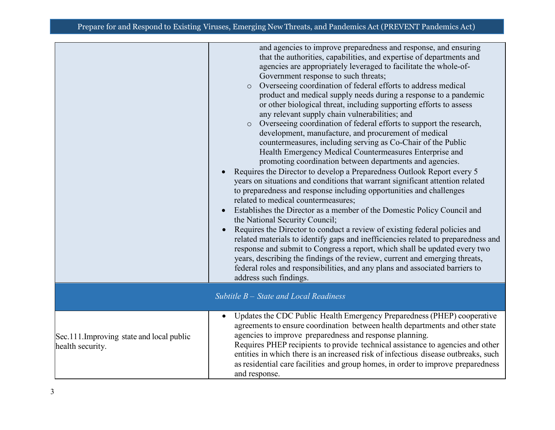|                                                               | and agencies to improve preparedness and response, and ensuring<br>that the authorities, capabilities, and expertise of departments and<br>agencies are appropriately leveraged to facilitate the whole-of-<br>Government response to such threats;<br>Overseeing coordination of federal efforts to address medical<br>$\circ$<br>product and medical supply needs during a response to a pandemic<br>or other biological threat, including supporting efforts to assess<br>any relevant supply chain vulnerabilities; and<br>Overseeing coordination of federal efforts to support the research,<br>$\circ$<br>development, manufacture, and procurement of medical<br>countermeasures, including serving as Co-Chair of the Public<br>Health Emergency Medical Countermeasures Enterprise and<br>promoting coordination between departments and agencies.<br>Requires the Director to develop a Preparedness Outlook Report every 5<br>years on situations and conditions that warrant significant attention related<br>to preparedness and response including opportunities and challenges<br>related to medical countermeasures;<br>Establishes the Director as a member of the Domestic Policy Council and<br>the National Security Council;<br>Requires the Director to conduct a review of existing federal policies and<br>related materials to identify gaps and inefficiencies related to preparedness and<br>response and submit to Congress a report, which shall be updated every two<br>years, describing the findings of the review, current and emerging threats,<br>federal roles and responsibilities, and any plans and associated barriers to<br>address such findings. |
|---------------------------------------------------------------|----------------------------------------------------------------------------------------------------------------------------------------------------------------------------------------------------------------------------------------------------------------------------------------------------------------------------------------------------------------------------------------------------------------------------------------------------------------------------------------------------------------------------------------------------------------------------------------------------------------------------------------------------------------------------------------------------------------------------------------------------------------------------------------------------------------------------------------------------------------------------------------------------------------------------------------------------------------------------------------------------------------------------------------------------------------------------------------------------------------------------------------------------------------------------------------------------------------------------------------------------------------------------------------------------------------------------------------------------------------------------------------------------------------------------------------------------------------------------------------------------------------------------------------------------------------------------------------------------------------------------------------------------------------------------------------------|
|                                                               | Subtitle $B -$ State and Local Readiness                                                                                                                                                                                                                                                                                                                                                                                                                                                                                                                                                                                                                                                                                                                                                                                                                                                                                                                                                                                                                                                                                                                                                                                                                                                                                                                                                                                                                                                                                                                                                                                                                                                     |
| Sec.111. Improving state and local public<br>health security. | Updates the CDC Public Health Emergency Preparedness (PHEP) cooperative<br>agreements to ensure coordination between health departments and other state<br>agencies to improve preparedness and response planning.<br>Requires PHEP recipients to provide technical assistance to agencies and other<br>entities in which there is an increased risk of infectious disease outbreaks, such<br>as residential care facilities and group homes, in order to improve preparedness<br>and response.                                                                                                                                                                                                                                                                                                                                                                                                                                                                                                                                                                                                                                                                                                                                                                                                                                                                                                                                                                                                                                                                                                                                                                                              |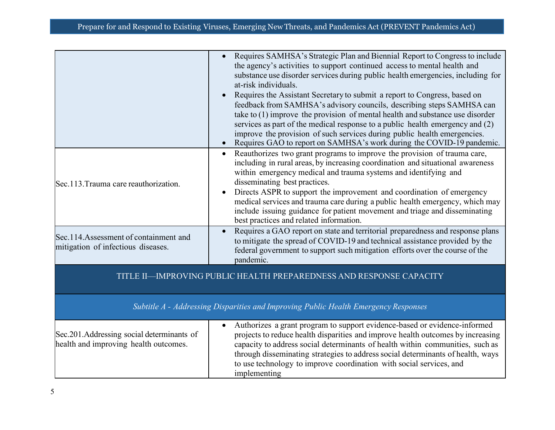|                                                                                    | Requires SAMHSA's Strategic Plan and Biennial Report to Congress to include<br>the agency's activities to support continued access to mental health and<br>substance use disorder services during public health emergencies, including for<br>at-risk individuals.<br>Requires the Assistant Secretary to submit a report to Congress, based on<br>feedback from SAMHSA's advisory councils, describing steps SAMHSA can<br>take to $(1)$ improve the provision of mental health and substance use disorder<br>services as part of the medical response to a public health emergency and (2)<br>improve the provision of such services during public health emergencies.<br>Requires GAO to report on SAMHSA's work during the COVID-19 pandemic. |
|------------------------------------------------------------------------------------|---------------------------------------------------------------------------------------------------------------------------------------------------------------------------------------------------------------------------------------------------------------------------------------------------------------------------------------------------------------------------------------------------------------------------------------------------------------------------------------------------------------------------------------------------------------------------------------------------------------------------------------------------------------------------------------------------------------------------------------------------|
| Sec.113. Trauma care reauthorization.                                              | Reauthorizes two grant programs to improve the provision of trauma care,<br>$\bullet$<br>including in rural areas, by increasing coordination and situational awareness<br>within emergency medical and trauma systems and identifying and<br>disseminating best practices.<br>Directs ASPR to support the improvement and coordination of emergency<br>medical services and trauma care during a public health emergency, which may<br>include issuing guidance for patient movement and triage and disseminating<br>best practices and related information.                                                                                                                                                                                     |
| Sec.114.Assessment of containment and<br>mitigation of infectious diseases.        | Requires a GAO report on state and territorial preparedness and response plans<br>to mitigate the spread of COVID-19 and technical assistance provided by the<br>federal government to support such mitigation efforts over the course of the<br>pandemic.                                                                                                                                                                                                                                                                                                                                                                                                                                                                                        |
|                                                                                    | TITLE II-IMPROVING PUBLIC HEALTH PREPAREDNESS AND RESPONSE CAPACITY                                                                                                                                                                                                                                                                                                                                                                                                                                                                                                                                                                                                                                                                               |
|                                                                                    | Subtitle A - Addressing Disparities and Improving Public Health Emergency Responses                                                                                                                                                                                                                                                                                                                                                                                                                                                                                                                                                                                                                                                               |
| Sec.201.Addressing social determinants of<br>health and improving health outcomes. | Authorizes a grant program to support evidence-based or evidence-informed<br>projects to reduce health disparities and improve health outcomes by increasing<br>capacity to address social determinants of health within communities, such as<br>through disseminating strategies to address social determinants of health, ways<br>to use technology to improve coordination with social services, and<br>implementing                                                                                                                                                                                                                                                                                                                           |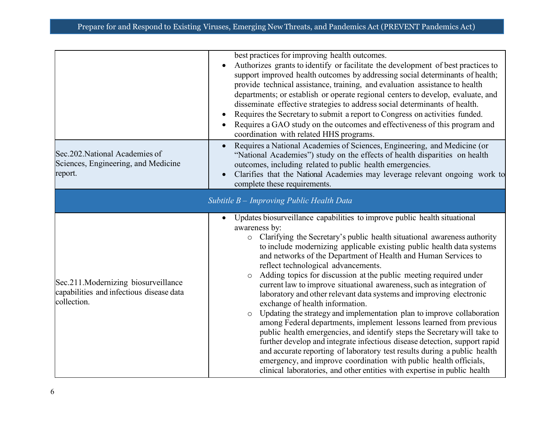|                                                                                                | best practices for improving health outcomes.<br>Authorizes grants to identify or facilitate the development of best practices to<br>support improved health outcomes by addressing social determinants of health;<br>provide technical assistance, training, and evaluation assistance to health<br>departments; or establish or operate regional centers to develop, evaluate, and<br>disseminate effective strategies to address social determinants of health.<br>Requires the Secretary to submit a report to Congress on activities funded.<br>Requires a GAO study on the outcomes and effectiveness of this program and<br>coordination with related HHS programs.                                                                                                                                                                                                                                                                                                                                                                                                                                                                                                     |
|------------------------------------------------------------------------------------------------|--------------------------------------------------------------------------------------------------------------------------------------------------------------------------------------------------------------------------------------------------------------------------------------------------------------------------------------------------------------------------------------------------------------------------------------------------------------------------------------------------------------------------------------------------------------------------------------------------------------------------------------------------------------------------------------------------------------------------------------------------------------------------------------------------------------------------------------------------------------------------------------------------------------------------------------------------------------------------------------------------------------------------------------------------------------------------------------------------------------------------------------------------------------------------------|
| Sec.202. National Academies of<br>Sciences, Engineering, and Medicine<br>report.               | Requires a National Academies of Sciences, Engineering, and Medicine (or<br>$\bullet$<br>"National Academies") study on the effects of health disparities on health<br>outcomes, including related to public health emergencies.<br>Clarifies that the National Academies may leverage relevant ongoing work to<br>complete these requirements.                                                                                                                                                                                                                                                                                                                                                                                                                                                                                                                                                                                                                                                                                                                                                                                                                                |
|                                                                                                | Subtitle B - Improving Public Health Data                                                                                                                                                                                                                                                                                                                                                                                                                                                                                                                                                                                                                                                                                                                                                                                                                                                                                                                                                                                                                                                                                                                                      |
| Sec.211.Modernizing biosurveillance<br>capabilities and infectious disease data<br>collection. | Updates biosurveillance capabilities to improve public health situational<br>awareness by:<br>o Clarifying the Secretary's public health situational awareness authority<br>to include modernizing applicable existing public health data systems<br>and networks of the Department of Health and Human Services to<br>reflect technological advancements.<br>Adding topics for discussion at the public meeting required under<br>$\circ$<br>current law to improve situational awareness, such as integration of<br>laboratory and other relevant data systems and improving electronic<br>exchange of health information.<br>Updating the strategy and implementation plan to improve collaboration<br>$\circ$<br>among Federal departments, implement lessons learned from previous<br>public health emergencies, and identify steps the Secretary will take to<br>further develop and integrate infectious disease detection, support rapid<br>and accurate reporting of laboratory test results during a public health<br>emergency, and improve coordination with public health officials,<br>clinical laboratories, and other entities with expertise in public health |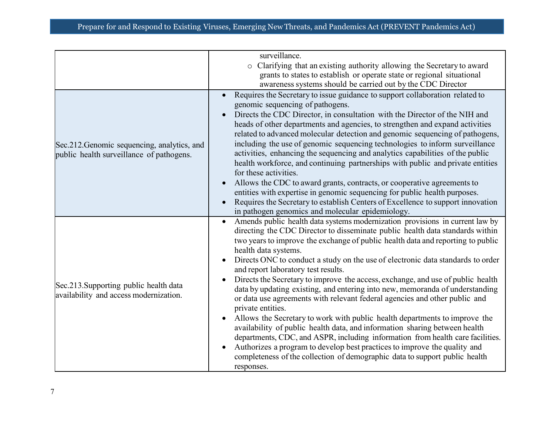|                                                                                         | surveillance.                                                                                                                                                                                                                                                                                                                                                                                                                                                                                                                                                                                                                                                                                                                                                                                                                                                                                                                                                                                                                                                                                                 |
|-----------------------------------------------------------------------------------------|---------------------------------------------------------------------------------------------------------------------------------------------------------------------------------------------------------------------------------------------------------------------------------------------------------------------------------------------------------------------------------------------------------------------------------------------------------------------------------------------------------------------------------------------------------------------------------------------------------------------------------------------------------------------------------------------------------------------------------------------------------------------------------------------------------------------------------------------------------------------------------------------------------------------------------------------------------------------------------------------------------------------------------------------------------------------------------------------------------------|
|                                                                                         | Clarifying that an existing authority allowing the Secretary to award<br>$\circ$                                                                                                                                                                                                                                                                                                                                                                                                                                                                                                                                                                                                                                                                                                                                                                                                                                                                                                                                                                                                                              |
|                                                                                         | grants to states to establish or operate state or regional situational                                                                                                                                                                                                                                                                                                                                                                                                                                                                                                                                                                                                                                                                                                                                                                                                                                                                                                                                                                                                                                        |
|                                                                                         | awareness systems should be carried out by the CDC Director                                                                                                                                                                                                                                                                                                                                                                                                                                                                                                                                                                                                                                                                                                                                                                                                                                                                                                                                                                                                                                                   |
| Sec.212. Genomic sequencing, analytics, and<br>public health surveillance of pathogens. | Requires the Secretary to issue guidance to support collaboration related to<br>genomic sequencing of pathogens.<br>Directs the CDC Director, in consultation with the Director of the NIH and<br>heads of other departments and agencies, to strengthen and expand activities<br>related to advanced molecular detection and genomic sequencing of pathogens,<br>including the use of genomic sequencing technologies to inform surveillance<br>activities, enhancing the sequencing and analytics capabilities of the public<br>health workforce, and continuing partnerships with public and private entities<br>for these activities.<br>Allows the CDC to award grants, contracts, or cooperative agreements to<br>entities with expertise in genomic sequencing for public health purposes.<br>Requires the Secretary to establish Centers of Excellence to support innovation<br>in pathogen genomics and molecular epidemiology.                                                                                                                                                                      |
| Sec.213. Supporting public health data<br>availability and access modernization.        | Amends public health data systems modernization provisions in current law by<br>$\bullet$<br>directing the CDC Director to disseminate public health data standards within<br>two years to improve the exchange of public health data and reporting to public<br>health data systems.<br>Directs ONC to conduct a study on the use of electronic data standards to order<br>and report laboratory test results.<br>Directs the Secretary to improve the access, exchange, and use of public health<br>data by updating existing, and entering into new, memoranda of understanding<br>or data use agreements with relevant federal agencies and other public and<br>private entities.<br>Allows the Secretary to work with public health departments to improve the<br>availability of public health data, and information sharing between health<br>departments, CDC, and ASPR, including information from health care facilities.<br>Authorizes a program to develop best practices to improve the quality and<br>completeness of the collection of demographic data to support public health<br>responses. |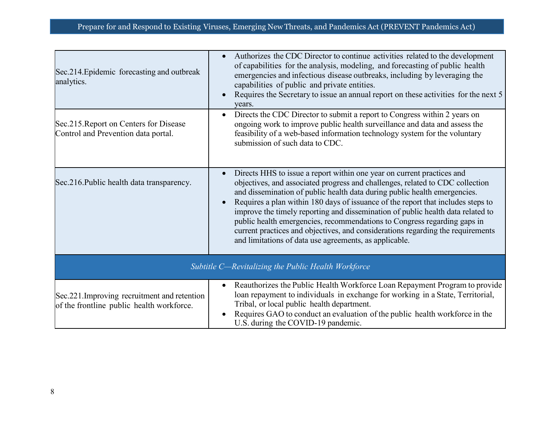| Sec.214. Epidemic forecasting and outbreak<br>analytics.                                   | Authorizes the CDC Director to continue activities related to the development<br>of capabilities for the analysis, modeling, and forecasting of public health<br>emergencies and infectious disease outbreaks, including by leveraging the<br>capabilities of public and private entities.<br>Requires the Secretary to issue an annual report on these activities for the next 5<br>years.                                                                                                                                                                                                                                          |
|--------------------------------------------------------------------------------------------|--------------------------------------------------------------------------------------------------------------------------------------------------------------------------------------------------------------------------------------------------------------------------------------------------------------------------------------------------------------------------------------------------------------------------------------------------------------------------------------------------------------------------------------------------------------------------------------------------------------------------------------|
| Sec.215. Report on Centers for Disease<br>Control and Prevention data portal.              | Directs the CDC Director to submit a report to Congress within 2 years on<br>$\bullet$<br>ongoing work to improve public health surveillance and data and assess the<br>feasibility of a web-based information technology system for the voluntary<br>submission of such data to CDC.                                                                                                                                                                                                                                                                                                                                                |
| Sec. 216. Public health data transparency.                                                 | Directs HHS to issue a report within one year on current practices and<br>objectives, and associated progress and challenges, related to CDC collection<br>and dissemination of public health data during public health emergencies.<br>Requires a plan within 180 days of issuance of the report that includes steps to<br>improve the timely reporting and dissemination of public health data related to<br>public health emergencies, recommendations to Congress regarding gaps in<br>current practices and objectives, and considerations regarding the requirements<br>and limitations of data use agreements, as applicable. |
| Subtitle C-Revitalizing the Public Health Workforce                                        |                                                                                                                                                                                                                                                                                                                                                                                                                                                                                                                                                                                                                                      |
| Sec. 221. Improving recruitment and retention<br>of the frontline public health workforce. | Reauthorizes the Public Health Workforce Loan Repayment Program to provide<br>loan repayment to individuals in exchange for working in a State, Territorial,<br>Tribal, or local public health department.<br>Requires GAO to conduct an evaluation of the public health workforce in the<br>U.S. during the COVID-19 pandemic.                                                                                                                                                                                                                                                                                                      |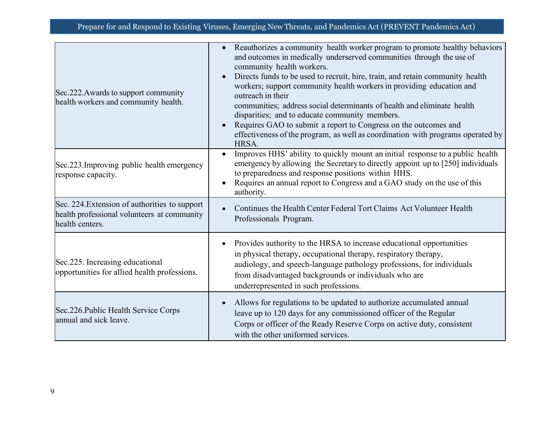| Sec.222. Awards to support community<br>health workers and community health.                                    | Reauthorizes a community health worker program to promote healthy behaviors<br>$\bullet$<br>and outcomes in medically underserved communities through the use of<br>community health workers.<br>Directs funds to be used to recruit, hire, train, and retain community health<br>workers; support community health workers in providing education and<br>outreach in their<br>communities; address social determinants of health and eliminate health<br>disparities; and to educate community members.<br>Requires GAO to submit a report to Congress on the outcomes and<br>effectiveness of the program, as well as coordination with programs operated by<br>HRSA. |
|-----------------------------------------------------------------------------------------------------------------|-------------------------------------------------------------------------------------------------------------------------------------------------------------------------------------------------------------------------------------------------------------------------------------------------------------------------------------------------------------------------------------------------------------------------------------------------------------------------------------------------------------------------------------------------------------------------------------------------------------------------------------------------------------------------|
| Sec.223. Improving public health emergency<br>response capacity.                                                | Improves HHS' ability to quickly mount an initial response to a public health<br>emergency by allowing the Secretary to directly appoint up to [250] individuals<br>to preparedness and response positions within HHS.<br>Requires an annual report to Congress and a GAO study on the use of this<br>authority.                                                                                                                                                                                                                                                                                                                                                        |
| Sec. 224. Extension of authorities to support<br>health professional volunteers at community<br>health centers. | Continues the Health Center Federal Tort Claims Act Volunteer Health<br>Professionals Program.                                                                                                                                                                                                                                                                                                                                                                                                                                                                                                                                                                          |
| Sec.225. Increasing educational<br>opportunities for allied health professions.                                 | Provides authority to the HRSA to increase educational opportunities<br>in physical therapy, occupational therapy, respiratory therapy,<br>audiology, and speech-language pathology professions, for individuals<br>from disadvantaged backgrounds or individuals who are<br>underrepresented in such professions.                                                                                                                                                                                                                                                                                                                                                      |
| Sec.226. Public Health Service Corps<br>annual and sick leave.                                                  | Allows for regulations to be updated to authorize accumulated annual<br>leave up to 120 days for any commissioned officer of the Regular<br>Corps or officer of the Ready Reserve Corps on active duty, consistent<br>with the other uniformed services.                                                                                                                                                                                                                                                                                                                                                                                                                |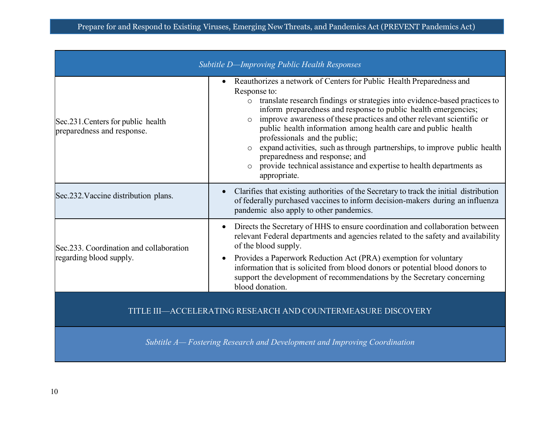| Subtitle D-Improving Public Health Responses                             |                                                                                                                                                                                                                                                                                                                                                                                                                                                                                                                                                                                                                         |
|--------------------------------------------------------------------------|-------------------------------------------------------------------------------------------------------------------------------------------------------------------------------------------------------------------------------------------------------------------------------------------------------------------------------------------------------------------------------------------------------------------------------------------------------------------------------------------------------------------------------------------------------------------------------------------------------------------------|
| Sec. 231. Centers for public health<br>preparedness and response.        | Reauthorizes a network of Centers for Public Health Preparedness and<br>Response to:<br>o translate research findings or strategies into evidence-based practices to<br>inform preparedness and response to public health emergencies;<br>improve awareness of these practices and other relevant scientific or<br>public health information among health care and public health<br>professionals and the public;<br>expand activities, such as through partnerships, to improve public health<br>preparedness and response; and<br>provide technical assistance and expertise to health departments as<br>appropriate. |
| Sec.232. Vaccine distribution plans.                                     | Clarifies that existing authorities of the Secretary to track the initial distribution<br>of federally purchased vaccines to inform decision-makers during an influenza<br>pandemic also apply to other pandemics.                                                                                                                                                                                                                                                                                                                                                                                                      |
| Sec.233. Coordination and collaboration<br>regarding blood supply.       | Directs the Secretary of HHS to ensure coordination and collaboration between<br>relevant Federal departments and agencies related to the safety and availability<br>of the blood supply.<br>Provides a Paperwork Reduction Act (PRA) exemption for voluntary<br>information that is solicited from blood donors or potential blood donors to<br>support the development of recommendations by the Secretary concerning<br>blood donation.                                                                                                                                                                              |
| TITLE III—ACCELERATING RESEARCH AND COUNTERMEASURE DISCOVERY             |                                                                                                                                                                                                                                                                                                                                                                                                                                                                                                                                                                                                                         |
| Subtitle A-Fostering Research and Development and Improving Coordination |                                                                                                                                                                                                                                                                                                                                                                                                                                                                                                                                                                                                                         |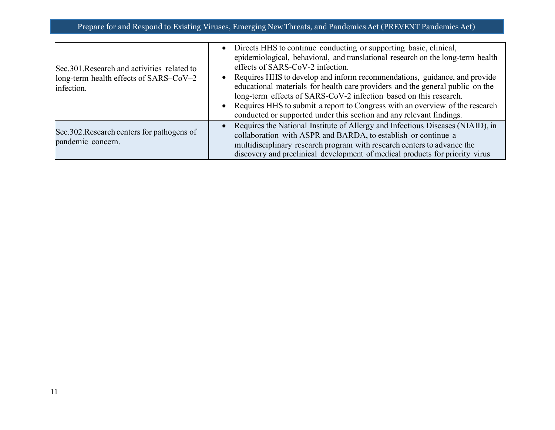| Sec. 301. Research and activities related to<br>long-term health effects of SARS-CoV-2<br>infection. | • Directs HHS to continue conducting or supporting basic, clinical,<br>epidemiological, behavioral, and translational research on the long-term health<br>effects of SARS-CoV-2 infection.<br>• Requires HHS to develop and inform recommendations, guidance, and provide<br>educational materials for health care providers and the general public on the<br>long-term effects of SARS-CoV-2 infection based on this research.<br>• Requires HHS to submit a report to Congress with an overview of the research<br>conducted or supported under this section and any relevant findings. |
|------------------------------------------------------------------------------------------------------|-------------------------------------------------------------------------------------------------------------------------------------------------------------------------------------------------------------------------------------------------------------------------------------------------------------------------------------------------------------------------------------------------------------------------------------------------------------------------------------------------------------------------------------------------------------------------------------------|
| Sec.302. Research centers for pathogens of<br>pandemic concern.                                      | • Requires the National Institute of Allergy and Infectious Diseases (NIAID), in<br>collaboration with ASPR and BARDA, to establish or continue a<br>multidisciplinary research program with research centers to advance the<br>discovery and preclinical development of medical products for priority virus                                                                                                                                                                                                                                                                              |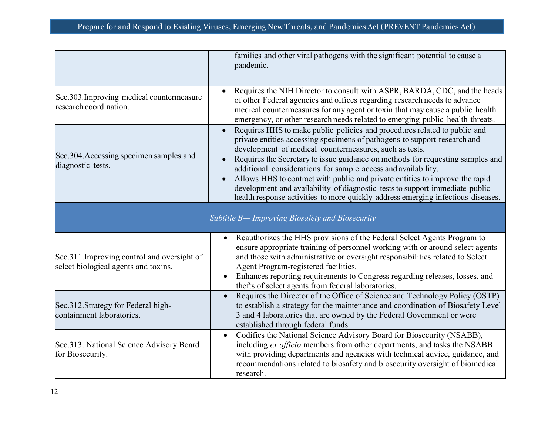|                                                                                     | families and other viral pathogens with the significant potential to cause a<br>pandemic.                                                                                                                                                                                                                                                                                                                                                                                                                                                                                                                               |
|-------------------------------------------------------------------------------------|-------------------------------------------------------------------------------------------------------------------------------------------------------------------------------------------------------------------------------------------------------------------------------------------------------------------------------------------------------------------------------------------------------------------------------------------------------------------------------------------------------------------------------------------------------------------------------------------------------------------------|
| Sec.303. Improving medical countermeasure<br>research coordination.                 | Requires the NIH Director to consult with ASPR, BARDA, CDC, and the heads<br>of other Federal agencies and offices regarding research needs to advance<br>medical countermeasures for any agent or toxin that may cause a public health<br>emergency, or other research needs related to emerging public health threats.                                                                                                                                                                                                                                                                                                |
| Sec.304. Accessing specimen samples and<br>diagnostic tests.                        | Requires HHS to make public policies and procedures related to public and<br>private entities accessing specimens of pathogens to support research and<br>development of medical countermeasures, such as tests.<br>Requires the Secretary to issue guidance on methods for requesting samples and<br>additional considerations for sample access and availability.<br>Allows HHS to contract with public and private entities to improve the rapid<br>development and availability of diagnostic tests to support immediate public<br>health response activities to more quickly address emerging infectious diseases. |
|                                                                                     | Subtitle B- Improving Biosafety and Biosecurity                                                                                                                                                                                                                                                                                                                                                                                                                                                                                                                                                                         |
| Sec.311. Improving control and oversight of<br>select biological agents and toxins. | Reauthorizes the HHS provisions of the Federal Select Agents Program to<br>$\bullet$<br>ensure appropriate training of personnel working with or around select agents<br>and those with administrative or oversight responsibilities related to Select<br>Agent Program-registered facilities.<br>Enhances reporting requirements to Congress regarding releases, losses, and<br>$\bullet$<br>thefts of select agents from federal laboratories.                                                                                                                                                                        |
| Sec.312.Strategy for Federal high-<br>containment laboratories.                     | Requires the Director of the Office of Science and Technology Policy (OSTP)<br>to establish a strategy for the maintenance and coordination of Biosafety Level<br>3 and 4 laboratories that are owned by the Federal Government or were<br>established through federal funds.                                                                                                                                                                                                                                                                                                                                           |
| Sec.313. National Science Advisory Board<br>for Biosecurity.                        | Codifies the National Science Advisory Board for Biosecurity (NSABB),<br>$\bullet$<br>including ex officio members from other departments, and tasks the NSABB<br>with providing departments and agencies with technical advice, guidance, and<br>recommendations related to biosafety and biosecurity oversight of biomedical<br>research.                                                                                                                                                                                                                                                                             |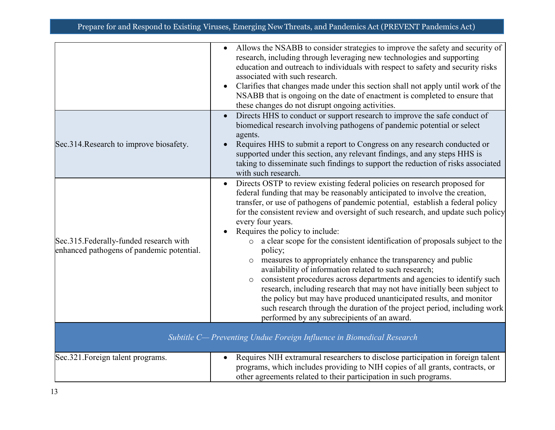|                                                                                      | Allows the NSABB to consider strategies to improve the safety and security of<br>$\bullet$<br>research, including through leveraging new technologies and supporting<br>education and outreach to individuals with respect to safety and security risks<br>associated with such research.<br>Clarifies that changes made under this section shall not apply until work of the<br>NSABB that is ongoing on the date of enactment is completed to ensure that<br>these changes do not disrupt ongoing activities.                                                                                                                                                                                                                                                                                                                                                                                                                                                                    |
|--------------------------------------------------------------------------------------|------------------------------------------------------------------------------------------------------------------------------------------------------------------------------------------------------------------------------------------------------------------------------------------------------------------------------------------------------------------------------------------------------------------------------------------------------------------------------------------------------------------------------------------------------------------------------------------------------------------------------------------------------------------------------------------------------------------------------------------------------------------------------------------------------------------------------------------------------------------------------------------------------------------------------------------------------------------------------------|
| Sec.314. Research to improve biosafety.                                              | Directs HHS to conduct or support research to improve the safe conduct of<br>$\bullet$<br>biomedical research involving pathogens of pandemic potential or select<br>agents.<br>Requires HHS to submit a report to Congress on any research conducted or<br>supported under this section, any relevant findings, and any steps HHS is<br>taking to disseminate such findings to support the reduction of risks associated<br>with such research.                                                                                                                                                                                                                                                                                                                                                                                                                                                                                                                                   |
| Sec.315. Federally-funded research with<br>enhanced pathogens of pandemic potential. | Directs OSTP to review existing federal policies on research proposed for<br>$\bullet$<br>federal funding that may be reasonably anticipated to involve the creation,<br>transfer, or use of pathogens of pandemic potential, establish a federal policy<br>for the consistent review and oversight of such research, and update such policy<br>every four years.<br>Requires the policy to include:<br>o a clear scope for the consistent identification of proposals subject to the<br>policy;<br>measures to appropriately enhance the transparency and public<br>availability of information related to such research;<br>consistent procedures across departments and agencies to identify such<br>research, including research that may not have initially been subject to<br>the policy but may have produced unanticipated results, and monitor<br>such research through the duration of the project period, including work<br>performed by any subrecipients of an award. |
| Subtitle C- Preventing Undue Foreign Influence in Biomedical Research                |                                                                                                                                                                                                                                                                                                                                                                                                                                                                                                                                                                                                                                                                                                                                                                                                                                                                                                                                                                                    |
| Sec.321. Foreign talent programs.                                                    | Requires NIH extramural researchers to disclose participation in foreign talent<br>$\bullet$<br>programs, which includes providing to NIH copies of all grants, contracts, or<br>other agreements related to their participation in such programs.                                                                                                                                                                                                                                                                                                                                                                                                                                                                                                                                                                                                                                                                                                                                 |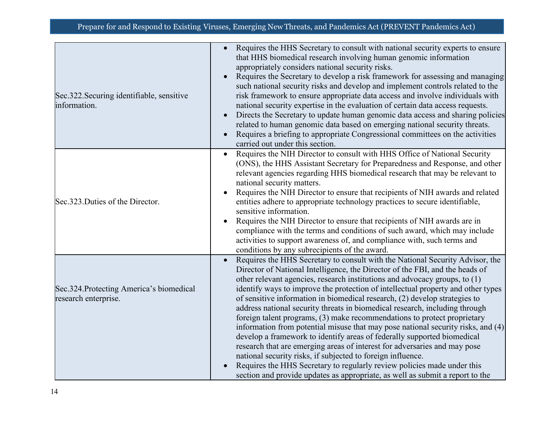| Sec.322. Securing identifiable, sensitive<br>information.        | Requires the HHS Secretary to consult with national security experts to ensure<br>$\bullet$<br>that HHS biomedical research involving human genomic information<br>appropriately considers national security risks.<br>Requires the Secretary to develop a risk framework for assessing and managing<br>$\bullet$<br>such national security risks and develop and implement controls related to the<br>risk framework to ensure appropriate data access and involve individuals with<br>national security expertise in the evaluation of certain data access requests.<br>Directs the Secretary to update human genomic data access and sharing policies<br>$\bullet$<br>related to human genomic data based on emerging national security threats.<br>Requires a briefing to appropriate Congressional committees on the activities<br>$\bullet$<br>carried out under this section.                                                                                                                                                                         |
|------------------------------------------------------------------|--------------------------------------------------------------------------------------------------------------------------------------------------------------------------------------------------------------------------------------------------------------------------------------------------------------------------------------------------------------------------------------------------------------------------------------------------------------------------------------------------------------------------------------------------------------------------------------------------------------------------------------------------------------------------------------------------------------------------------------------------------------------------------------------------------------------------------------------------------------------------------------------------------------------------------------------------------------------------------------------------------------------------------------------------------------|
| Sec.323. Duties of the Director.                                 | Requires the NIH Director to consult with HHS Office of National Security<br>(ONS), the HHS Assistant Secretary for Preparedness and Response, and other<br>relevant agencies regarding HHS biomedical research that may be relevant to<br>national security matters.<br>Requires the NIH Director to ensure that recipients of NIH awards and related<br>$\bullet$<br>entities adhere to appropriate technology practices to secure identifiable,<br>sensitive information.<br>Requires the NIH Director to ensure that recipients of NIH awards are in<br>compliance with the terms and conditions of such award, which may include<br>activities to support awareness of, and compliance with, such terms and<br>conditions by any subrecipients of the award.                                                                                                                                                                                                                                                                                            |
| Sec.324. Protecting America's biomedical<br>research enterprise. | Requires the HHS Secretary to consult with the National Security Advisor, the<br>$\bullet$<br>Director of National Intelligence, the Director of the FBI, and the heads of<br>other relevant agencies, research institutions and advocacy groups, to (1)<br>identify ways to improve the protection of intellectual property and other types<br>of sensitive information in biomedical research, (2) develop strategies to<br>address national security threats in biomedical research, including through<br>foreign talent programs, (3) make recommendations to protect proprietary<br>information from potential misuse that may pose national security risks, and (4)<br>develop a framework to identify areas of federally supported biomedical<br>research that are emerging areas of interest for adversaries and may pose<br>national security risks, if subjected to foreign influence.<br>Requires the HHS Secretary to regularly review policies made under this<br>section and provide updates as appropriate, as well as submit a report to the |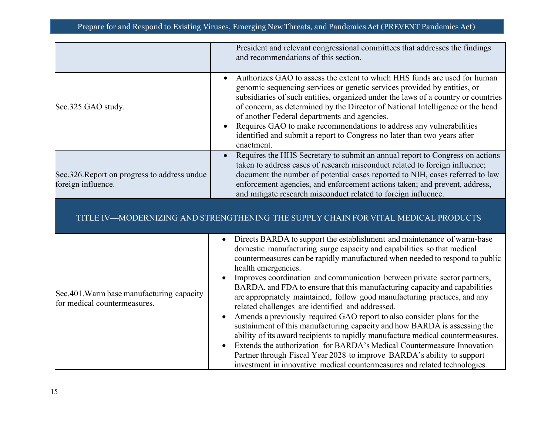|                                                                           | President and relevant congressional committees that addresses the findings<br>and recommendations of this section.                                                                                                                                                                                                                                                                                                                                                                                                                                                                                                                                                                                                                                                                                                                                                                                                                                                                                                               |
|---------------------------------------------------------------------------|-----------------------------------------------------------------------------------------------------------------------------------------------------------------------------------------------------------------------------------------------------------------------------------------------------------------------------------------------------------------------------------------------------------------------------------------------------------------------------------------------------------------------------------------------------------------------------------------------------------------------------------------------------------------------------------------------------------------------------------------------------------------------------------------------------------------------------------------------------------------------------------------------------------------------------------------------------------------------------------------------------------------------------------|
| Sec.325.GAO study.                                                        | Authorizes GAO to assess the extent to which HHS funds are used for human<br>$\bullet$<br>genomic sequencing services or genetic services provided by entities, or<br>subsidiaries of such entities, organized under the laws of a country or countries<br>of concern, as determined by the Director of National Intelligence or the head<br>of another Federal departments and agencies.<br>Requires GAO to make recommendations to address any vulnerabilities<br>$\bullet$<br>identified and submit a report to Congress no later than two years after<br>enactment.                                                                                                                                                                                                                                                                                                                                                                                                                                                           |
| Sec.326. Report on progress to address undue<br>foreign influence.        | Requires the HHS Secretary to submit an annual report to Congress on actions<br>$\bullet$<br>taken to address cases of research misconduct related to foreign influence;<br>document the number of potential cases reported to NIH, cases referred to law<br>enforcement agencies, and enforcement actions taken; and prevent, address,<br>and mitigate research misconduct related to foreign influence.                                                                                                                                                                                                                                                                                                                                                                                                                                                                                                                                                                                                                         |
|                                                                           | TITLE IV—MODERNIZING AND STRENGTHENING THE SUPPLY CHAIN FOR VITAL MEDICAL PRODUCTS                                                                                                                                                                                                                                                                                                                                                                                                                                                                                                                                                                                                                                                                                                                                                                                                                                                                                                                                                |
| Sec.401. Warm base manufacturing capacity<br>for medical countermeasures. | Directs BARDA to support the establishment and maintenance of warm-base<br>domestic manufacturing surge capacity and capabilities so that medical<br>countermeasures can be rapidly manufactured when needed to respond to public<br>health emergencies.<br>Improves coordination and communication between private sector partners,<br>BARDA, and FDA to ensure that this manufacturing capacity and capabilities<br>are appropriately maintained, follow good manufacturing practices, and any<br>related challenges are identified and addressed.<br>Amends a previously required GAO report to also consider plans for the<br>sustainment of this manufacturing capacity and how BARDA is assessing the<br>ability of its award recipients to rapidly manufacture medical countermeasures.<br>Extends the authorization for BARDA's Medical Countermeasure Innovation<br>Partner through Fiscal Year 2028 to improve BARDA's ability to support<br>investment in innovative medical countermeasures and related technologies. |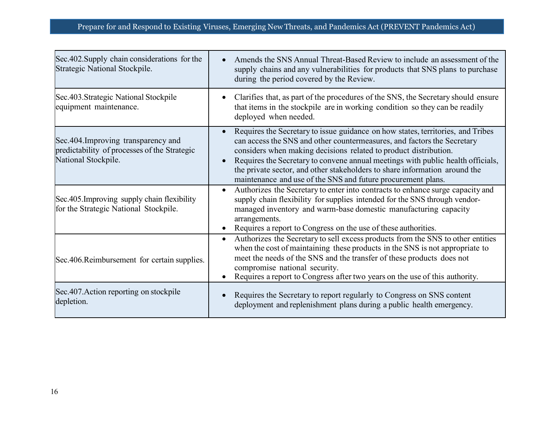| Sec. 402. Supply chain considerations for the<br>Strategic National Stockpile.                             | Amends the SNS Annual Threat-Based Review to include an assessment of the<br>supply chains and any vulnerabilities for products that SNS plans to purchase<br>during the period covered by the Review.                                                                                                                                                                                                                                                                       |
|------------------------------------------------------------------------------------------------------------|------------------------------------------------------------------------------------------------------------------------------------------------------------------------------------------------------------------------------------------------------------------------------------------------------------------------------------------------------------------------------------------------------------------------------------------------------------------------------|
| Sec.403.Strategic National Stockpile<br>equipment maintenance.                                             | Clarifies that, as part of the procedures of the SNS, the Secretary should ensure<br>that items in the stockpile are in working condition so they can be readily<br>deployed when needed.                                                                                                                                                                                                                                                                                    |
| Sec.404. Improving transparency and<br>predictability of processes of the Strategic<br>National Stockpile. | Requires the Secretary to issue guidance on how states, territories, and Tribes<br>$\bullet$<br>can access the SNS and other countermeasures, and factors the Secretary<br>considers when making decisions related to product distribution.<br>Requires the Secretary to convene annual meetings with public health officials,<br>the private sector, and other stakeholders to share information around the<br>maintenance and use of the SNS and future procurement plans. |
| Sec.405. Improving supply chain flexibility<br>for the Strategic National Stockpile.                       | Authorizes the Secretary to enter into contracts to enhance surge capacity and<br>$\bullet$<br>supply chain flexibility for supplies intended for the SNS through vendor-<br>managed inventory and warm-base domestic manufacturing capacity<br>arrangements.<br>Requires a report to Congress on the use of these authorities.                                                                                                                                              |
| Sec.406.Reimbursement for certain supplies.                                                                | Authorizes the Secretary to sell excess products from the SNS to other entities<br>$\bullet$<br>when the cost of maintaining these products in the SNS is not appropriate to<br>meet the needs of the SNS and the transfer of these products does not<br>compromise national security.<br>Requires a report to Congress after two years on the use of this authority.                                                                                                        |
| Sec.407. Action reporting on stockpile<br>depletion.                                                       | Requires the Secretary to report regularly to Congress on SNS content<br>deployment and replenishment plans during a public health emergency.                                                                                                                                                                                                                                                                                                                                |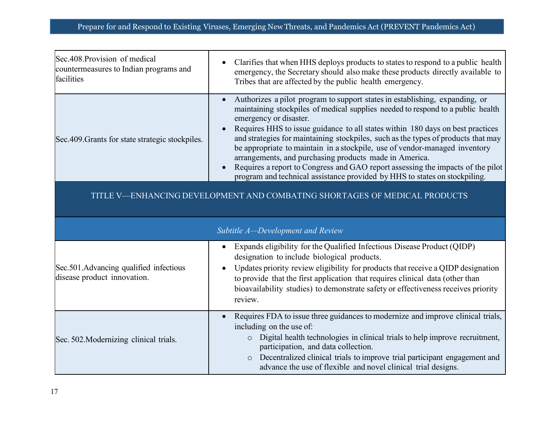| Sec.408. Provision of medical                    | Clarifies that when HHS deploys products to states to respond to a public health                                                                                                                                                                                                                                                                                                                                                                                                                                                                                                                                                                                         |
|--------------------------------------------------|--------------------------------------------------------------------------------------------------------------------------------------------------------------------------------------------------------------------------------------------------------------------------------------------------------------------------------------------------------------------------------------------------------------------------------------------------------------------------------------------------------------------------------------------------------------------------------------------------------------------------------------------------------------------------|
| countermeasures to Indian programs and           | emergency, the Secretary should also make these products directly available to                                                                                                                                                                                                                                                                                                                                                                                                                                                                                                                                                                                           |
| facilities                                       | Tribes that are affected by the public health emergency.                                                                                                                                                                                                                                                                                                                                                                                                                                                                                                                                                                                                                 |
| Sec. 409. Grants for state strategic stockpiles. | Authorizes a pilot program to support states in establishing, expanding, or<br>maintaining stockpiles of medical supplies needed to respond to a public health<br>emergency or disaster.<br>Requires HHS to issue guidance to all states within 180 days on best practices<br>and strategies for maintaining stockpiles, such as the types of products that may<br>be appropriate to maintain in a stockpile, use of vendor-managed inventory<br>arrangements, and purchasing products made in America.<br>Requires a report to Congress and GAO report assessing the impacts of the pilot<br>program and technical assistance provided by HHS to states on stockpiling. |

TITLE V—ENHANCING DEVELOPMENT AND COMBATING SHORTAGES OF MEDICAL PRODUCTS

|                                                                        | Subtitle A-Development and Review                                                                                                                                                                                                                                                                                                                                                           |
|------------------------------------------------------------------------|---------------------------------------------------------------------------------------------------------------------------------------------------------------------------------------------------------------------------------------------------------------------------------------------------------------------------------------------------------------------------------------------|
| Sec.501. Advancing qualified infectious<br>disease product innovation. | Expands eligibility for the Qualified Infectious Disease Product (QIDP)<br>designation to include biological products.<br>Updates priority review eligibility for products that receive a QIDP designation<br>to provide that the first application that requires clinical data (other than<br>bioavailability studies) to demonstrate safety or effectiveness receives priority<br>review. |
| Sec. 502. Modernizing clinical trials.                                 | Requires FDA to issue three guidances to modernize and improve clinical trials,<br>including on the use of:<br>Digital health technologies in clinical trials to help improve recruitment,<br>participation, and data collection.<br>Decentralized clinical trials to improve trial participant engagement and<br>$\circ$<br>advance the use of flexible and novel clinical trial designs.  |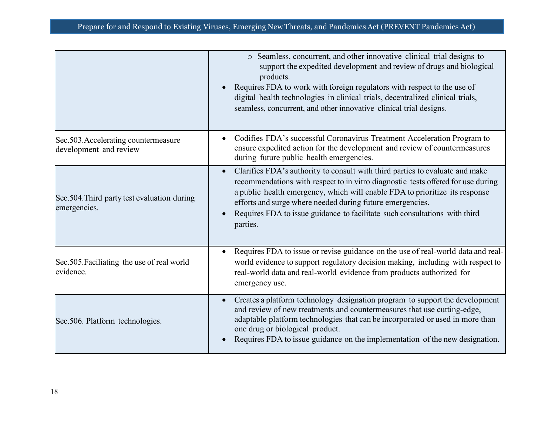|                                                                | o Seamless, concurrent, and other innovative clinical trial designs to<br>support the expedited development and review of drugs and biological<br>products.<br>Requires FDA to work with foreign regulators with respect to the use of<br>digital health technologies in clinical trials, decentralized clinical trials,<br>seamless, concurrent, and other innovative clinical trial designs.         |
|----------------------------------------------------------------|--------------------------------------------------------------------------------------------------------------------------------------------------------------------------------------------------------------------------------------------------------------------------------------------------------------------------------------------------------------------------------------------------------|
| Sec.503. Accelerating countermeasure<br>development and review | Codifies FDA's successful Coronavirus Treatment Acceleration Program to<br>ensure expedited action for the development and review of countermeasures<br>during future public health emergencies.                                                                                                                                                                                                       |
| Sec.504. Third party test evaluation during<br>emergencies.    | Clarifies FDA's authority to consult with third parties to evaluate and make<br>recommendations with respect to in vitro diagnostic tests offered for use during<br>a public health emergency, which will enable FDA to prioritize its response<br>efforts and surge where needed during future emergencies.<br>Requires FDA to issue guidance to facilitate such consultations with third<br>parties. |
| Sec.505. Faciliating the use of real world<br>evidence.        | Requires FDA to issue or revise guidance on the use of real-world data and real-<br>world evidence to support regulatory decision making, including with respect to<br>real-world data and real-world evidence from products authorized for<br>emergency use.                                                                                                                                          |
| Sec.506. Platform technologies.                                | Creates a platform technology designation program to support the development<br>and review of new treatments and countermeasures that use cutting-edge,<br>adaptable platform technologies that can be incorporated or used in more than<br>one drug or biological product.<br>Requires FDA to issue guidance on the implementation of the new designation.                                            |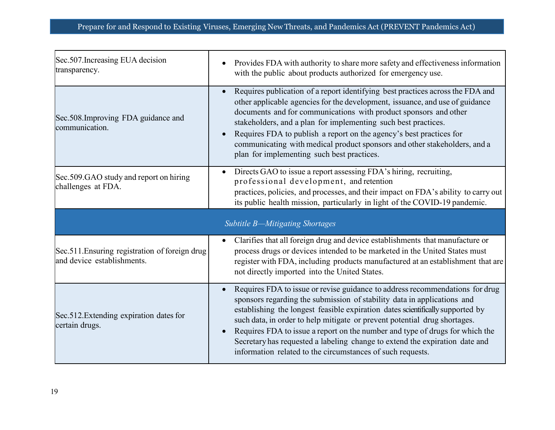| Sec.507. Increasing EUA decision<br>transparency.                            | Provides FDA with authority to share more safety and effectiveness information<br>with the public about products authorized for emergency use.                                                                                                                                                                                                                                                                                                                                                         |
|------------------------------------------------------------------------------|--------------------------------------------------------------------------------------------------------------------------------------------------------------------------------------------------------------------------------------------------------------------------------------------------------------------------------------------------------------------------------------------------------------------------------------------------------------------------------------------------------|
| Sec.508. Improving FDA guidance and<br>communication.                        | Requires publication of a report identifying best practices across the FDA and<br>other applicable agencies for the development, issuance, and use of guidance<br>documents and for communications with product sponsors and other<br>stakeholders, and a plan for implementing such best practices.<br>Requires FDA to publish a report on the agency's best practices for<br>communicating with medical product sponsors and other stakeholders, and a<br>plan for implementing such best practices. |
| Sec.509.GAO study and report on hiring<br>challenges at FDA.                 | Directs GAO to issue a report assessing FDA's hiring, recruiting,<br>professional development, and retention<br>practices, policies, and processes, and their impact on FDA's ability to carry out<br>its public health mission, particularly in light of the COVID-19 pandemic.                                                                                                                                                                                                                       |
|                                                                              | Subtitle B-Mitigating Shortages                                                                                                                                                                                                                                                                                                                                                                                                                                                                        |
| Sec.511. Ensuring registration of foreign drug<br>and device establishments. | Clarifies that all foreign drug and device establishments that manufacture or<br>process drugs or devices intended to be marketed in the United States must<br>register with FDA, including products manufactured at an establishment that are<br>not directly imported into the United States.                                                                                                                                                                                                        |
| Sec.512. Extending expiration dates for<br>certain drugs.                    | Requires FDA to issue or revise guidance to address recommendations for drug<br>sponsors regarding the submission of stability data in applications and<br>establishing the longest feasible expiration dates scientifically supported by<br>such data, in order to help mitigate or prevent potential drug shortages.<br>Requires FDA to issue a report on the number and type of drugs for which the<br>Secretary has requested a labeling change to extend the expiration date and                  |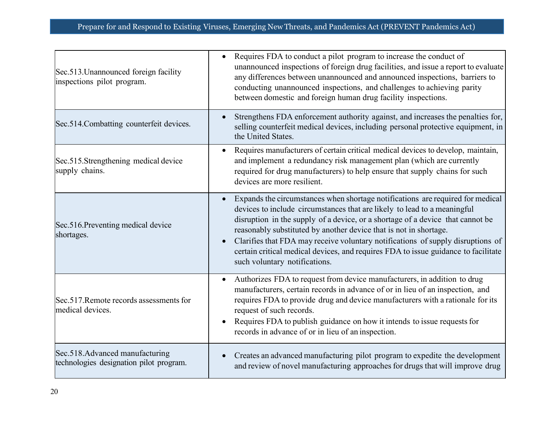| Sec.513. Unannounced foreign facility<br>inspections pilot program.       | Requires FDA to conduct a pilot program to increase the conduct of<br>unannounced inspections of foreign drug facilities, and issue a report to evaluate<br>any differences between unannounced and announced inspections, barriers to<br>conducting unannounced inspections, and challenges to achieving parity<br>between domestic and foreign human drug facility inspections.                                                                                                                                                        |
|---------------------------------------------------------------------------|------------------------------------------------------------------------------------------------------------------------------------------------------------------------------------------------------------------------------------------------------------------------------------------------------------------------------------------------------------------------------------------------------------------------------------------------------------------------------------------------------------------------------------------|
| Sec.514. Combatting counterfeit devices.                                  | Strengthens FDA enforcement authority against, and increases the penalties for,<br>selling counterfeit medical devices, including personal protective equipment, in<br>the United States.                                                                                                                                                                                                                                                                                                                                                |
| Sec.515.Strengthening medical device<br>supply chains.                    | Requires manufacturers of certain critical medical devices to develop, maintain,<br>and implement a redundancy risk management plan (which are currently<br>required for drug manufacturers) to help ensure that supply chains for such<br>devices are more resilient.                                                                                                                                                                                                                                                                   |
| Sec.516. Preventing medical device<br>shortages.                          | Expands the circumstances when shortage notifications are required for medical<br>$\bullet$<br>devices to include circumstances that are likely to lead to a meaningful<br>disruption in the supply of a device, or a shortage of a device that cannot be<br>reasonably substituted by another device that is not in shortage.<br>Clarifies that FDA may receive voluntary notifications of supply disruptions of<br>certain critical medical devices, and requires FDA to issue guidance to facilitate<br>such voluntary notifications. |
| Sec. 517. Remote records assessments for<br>medical devices.              | Authorizes FDA to request from device manufacturers, in addition to drug<br>manufacturers, certain records in advance of or in lieu of an inspection, and<br>requires FDA to provide drug and device manufacturers with a rationale for its<br>request of such records.<br>Requires FDA to publish guidance on how it intends to issue requests for<br>records in advance of or in lieu of an inspection.                                                                                                                                |
| Sec.518.Advanced manufacturing<br>technologies designation pilot program. | Creates an advanced manufacturing pilot program to expedite the development<br>and review of novel manufacturing approaches for drugs that will improve drug                                                                                                                                                                                                                                                                                                                                                                             |